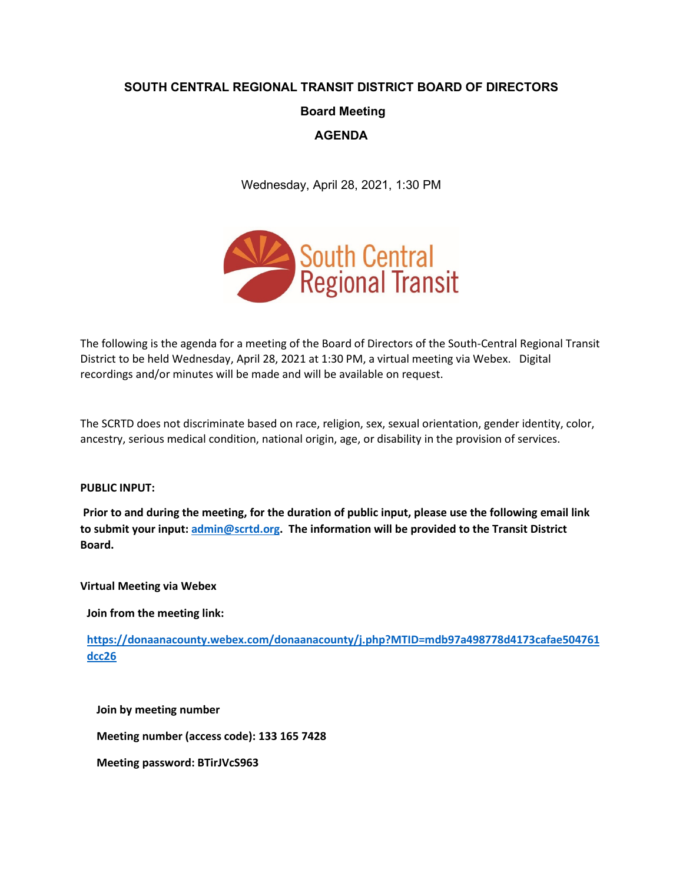# **SOUTH CENTRAL REGIONAL TRANSIT DISTRICT BOARD OF DIRECTORS Board Meeting AGENDA**

Wednesday, April 28, 2021, 1:30 PM



The following is the agenda for a meeting of the Board of Directors of the South-Central Regional Transit District to be held Wednesday, April 28, 2021 at 1:30 PM, a virtual meeting via Webex. Digital recordings and/or minutes will be made and will be available on request.

The SCRTD does not discriminate based on race, religion, sex, sexual orientation, gender identity, color, ancestry, serious medical condition, national origin, age, or disability in the provision of services.

#### **PUBLIC INPUT:**

**Prior to and during the meeting, for the duration of public input, please use the following email link to submit your input[: admin@scrtd.org.](mailto:admin@scrtd.org) The information will be provided to the Transit District Board.**

**Virtual Meeting via Webex**

**Join from the meeting link:**

**[https://donaanacounty.webex.com/donaanacounty/j.php?MTID=mdb97a498778d4173cafae504761](https://donaanacounty.webex.com/donaanacounty/j.php?MTID=mdb97a498778d4173cafae504761dcc26) [dcc26](https://donaanacounty.webex.com/donaanacounty/j.php?MTID=mdb97a498778d4173cafae504761dcc26)**

**Join by meeting number** 

**Meeting number (access code): 133 165 7428** 

**Meeting password: BTirJVcS963**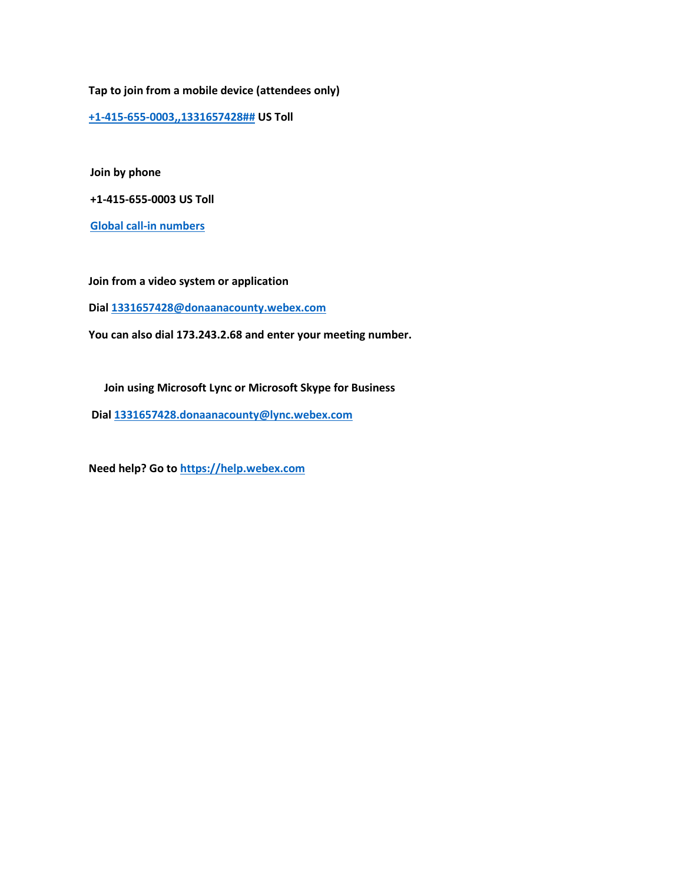**Tap to join from a mobile device (attendees only)**

**[+1-415-655-0003,,1331657428##](tel:%2B1-415-655-0003,,*01*1331657428%23%23*01*) US Toll**

**Join by phone**

**+1-415-655-0003 US Toll**

**[Global call-in numbers](https://donaanacounty.webex.com/donaanacounty/globalcallin.php?MTID=m7a61cde6c4557b63e4eec38d2a4cfe18)**

**Join from a video system or application**

**Dial [1331657428@donaanacounty.webex.com](https://d.docs.live.net/cb2f67b70b450baf/Desktop/Agenda%20Files%20July%20-%20June%202021/April%20Board%20Agenda/%20sip:1331657428@donaanacounty.webex.com)**

**You can also dial 173.243.2.68 and enter your meeting number.**

**Join using Microsoft Lync or Microsoft Skype for Business**

**Dial [1331657428.donaanacounty@lync.webex.com](https://d.docs.live.net/cb2f67b70b450baf/Desktop/Agenda%20Files%20July%20-%20June%202021/April%20Board%20Agenda/%20sip:1331657428.donaanacounty@lync.webex.com)**

**Need help? Go t[o https://help.webex.com](https://help.webex.com/)**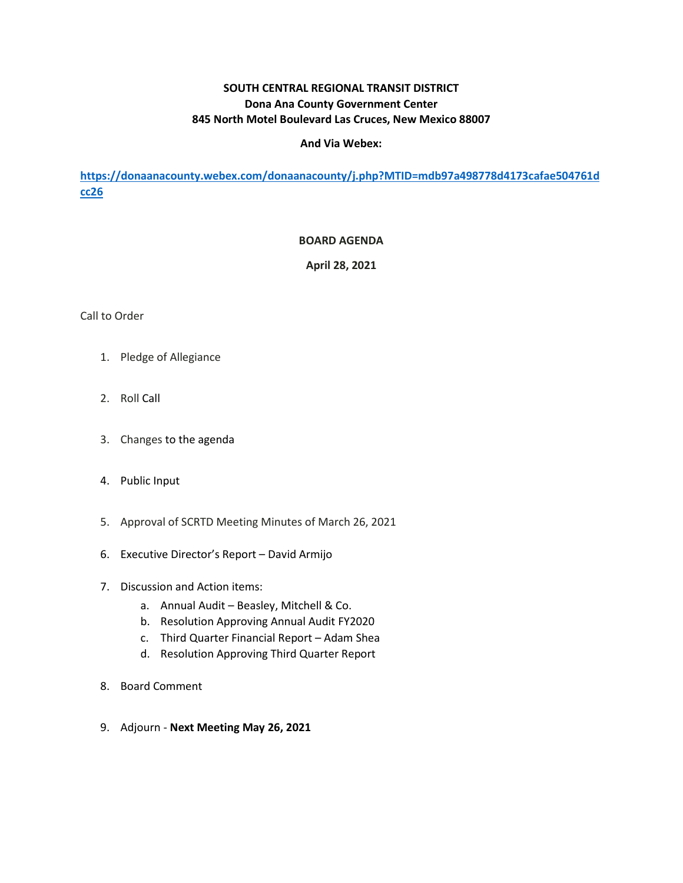## **SOUTH CENTRAL REGIONAL TRANSIT DISTRICT Dona Ana County Government Center 845 North Motel Boulevard Las Cruces, New Mexico 88007**

#### **And Via Webex:**

**[https://donaanacounty.webex.com/donaanacounty/j.php?MTID=mdb97a498778d4173cafae504761d](https://donaanacounty.webex.com/donaanacounty/j.php?MTID=mdb97a498778d4173cafae504761dcc26) [cc26](https://donaanacounty.webex.com/donaanacounty/j.php?MTID=mdb97a498778d4173cafae504761dcc26)**

#### **BOARD AGENDA**

**April 28, 2021**

#### Call to Order

- 1. Pledge of Allegiance
- 2. Roll Call
- 3. Changes to the agenda
- 4. Public Input
- 5. Approval of SCRTD Meeting Minutes of March 26, 2021
- 6. Executive Director's Report David Armijo
- 7. Discussion and Action items:
	- a. Annual Audit Beasley, Mitchell & Co.
	- b. Resolution Approving Annual Audit FY2020
	- c. Third Quarter Financial Report Adam Shea
	- d. Resolution Approving Third Quarter Report
- 8. Board Comment
- 9. Adjourn **Next Meeting May 26, 2021**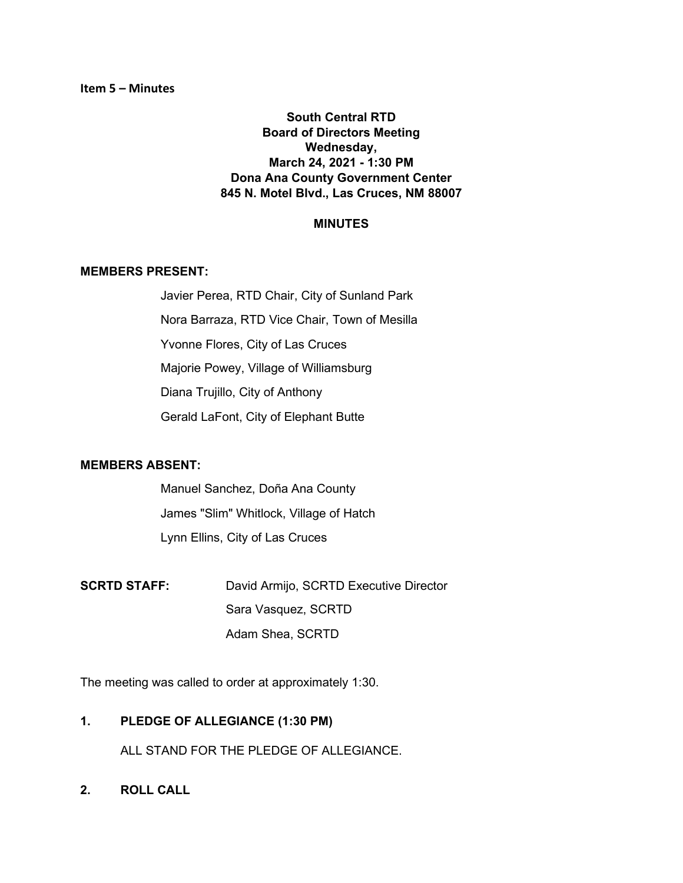**South Central RTD Board of Directors Meeting Wednesday, March 24, 2021 - 1:30 PM Dona Ana County Government Center 845 N. Motel Blvd., Las Cruces, NM 88007**

#### **MINUTES**

#### **MEMBERS PRESENT:**

Javier Perea, RTD Chair, City of Sunland Park Nora Barraza, RTD Vice Chair, Town of Mesilla Yvonne Flores, City of Las Cruces Majorie Powey, Village of Williamsburg Diana Trujillo, City of Anthony Gerald LaFont, City of Elephant Butte

#### **MEMBERS ABSENT:**

Manuel Sanchez, Doña Ana County James "Slim" Whitlock, Village of Hatch Lynn Ellins, City of Las Cruces

**SCRTD STAFF:** David Armijo, SCRTD Executive Director Sara Vasquez, SCRTD Adam Shea, SCRTD

The meeting was called to order at approximately 1:30.

**1. PLEDGE OF ALLEGIANCE (1:30 PM)**

ALL STAND FOR THE PLEDGE OF ALLEGIANCE.

**2. ROLL CALL**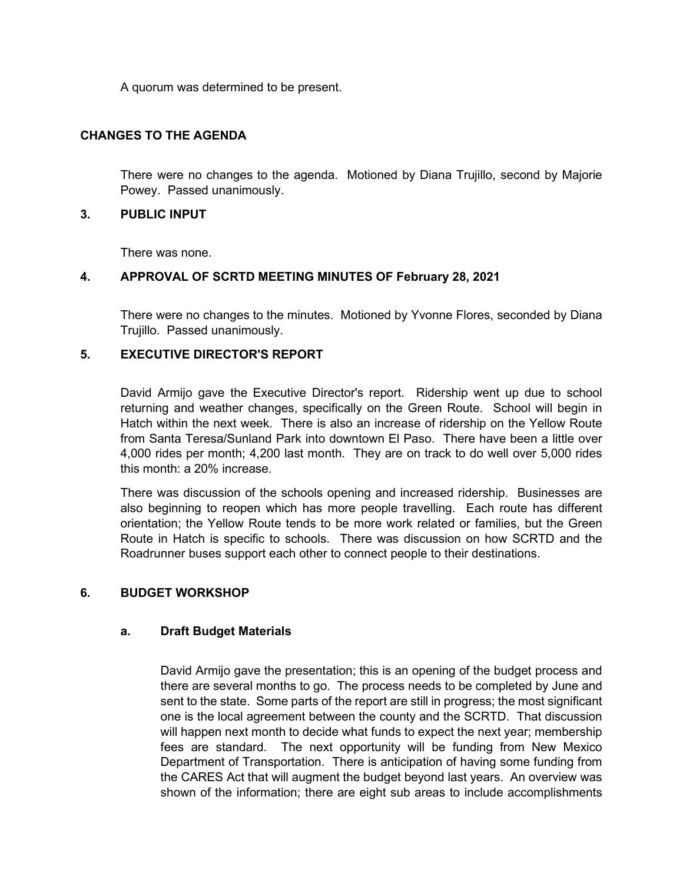A quorum was determined to be present.

### **CHANGES TO THE AGENDA**

There were no changes to the agenda. Motioned by Diana Trujillo, second by Majorie Powey. Passed unanimously.

#### **3. PUBLIC INPUT**

There was none.

## **4. APPROVAL OF SCRTD MEETING MINUTES OF February 28, 2021**

There were no changes to the minutes. Motioned by Yvonne Flores, seconded by Diana Trujillo. Passed unanimously.

## **5. EXECUTIVE DIRECTOR'S REPORT**

David Armijo gave the Executive Director's report. Ridership went up due to school returning and weather changes, specifically on the Green Route. School will begin in Hatch within the next week. There is also an increase of ridership on the Yellow Route from Santa Teresa/Sunland Park into downtown El Paso. There have been a little over 4,000 rides per month; 4,200 last month. They are on track to do well over 5,000 rides this month: a 20% increase.

There was discussion of the schools opening and increased ridership. Businesses are also beginning to reopen which has more people travelling. Each route has different orientation; the Yellow Route tends to be more work related or families, but the Green Route in Hatch is specific to schools. There was discussion on how SCRTD and the Roadrunner buses support each other to connect people to their destinations.

## **6. BUDGET WORKSHOP**

## **a. Draft Budget Materials**

David Armijo gave the presentation; this is an opening of the budget process and there are several months to go. The process needs to be completed by June and sent to the state. Some parts of the report are still in progress; the most significant one is the local agreement between the county and the SCRTD. That discussion will happen next month to decide what funds to expect the next year; membership fees are standard. The next opportunity will be funding from New Mexico Department of Transportation. There is anticipation of having some funding from the CARES Act that will augment the budget beyond last years. An overview was shown of the information; there are eight sub areas to include accomplishments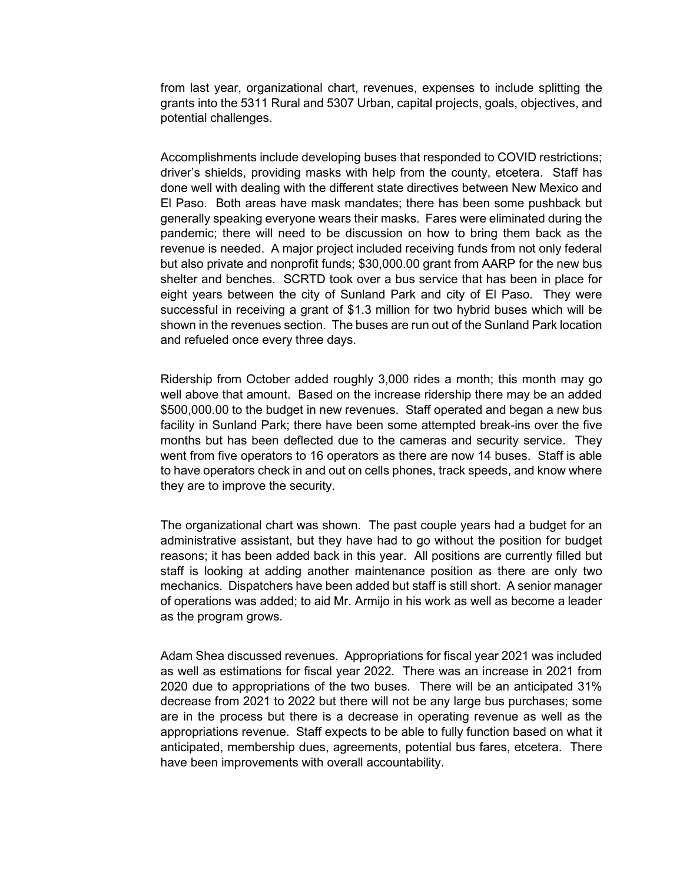from last year, organizational chart, revenues, expenses to include splitting the grants into the 5311 Rural and 5307 Urban, capital projects, goals, objectives, and potential challenges.

Accomplishments include developing buses that responded to COVID restrictions; driver's shields, providing masks with help from the county, etcetera. Staff has done well with dealing with the different state directives between New Mexico and El Paso. Both areas have mask mandates; there has been some pushback but generally speaking everyone wears their masks. Fares were eliminated during the pandemic; there will need to be discussion on how to bring them back as the revenue is needed. A major project included receiving funds from not only federal but also private and nonprofit funds; \$30,000.00 grant from AARP for the new bus shelter and benches. SCRTD took over a bus service that has been in place for eight years between the city of Sunland Park and city of El Paso. They were successful in receiving a grant of \$1.3 million for two hybrid buses which will be shown in the revenues section. The buses are run out of the Sunland Park location and refueled once every three days.

Ridership from October added roughly 3,000 rides a month; this month may go well above that amount. Based on the increase ridership there may be an added \$500,000.00 to the budget in new revenues. Staff operated and began a new bus facility in Sunland Park; there have been some attempted break-ins over the five months but has been deflected due to the cameras and security service. They went from five operators to 16 operators as there are now 14 buses. Staff is able to have operators check in and out on cells phones, track speeds, and know where they are to improve the security.

The organizational chart was shown. The past couple years had a budget for an administrative assistant, but they have had to go without the position for budget reasons; it has been added back in this year. All positions are currently filled but staff is looking at adding another maintenance position as there are only two mechanics. Dispatchers have been added but staff is still short. A senior manager of operations was added; to aid Mr. Armijo in his work as well as become a leader as the program grows.

Adam Shea discussed revenues. Appropriations for fiscal year 2021 was included as well as estimations for fiscal year 2022. There was an increase in 2021 from 2020 due to appropriations of the two buses. There will be an anticipated 31% decrease from 2021 to 2022 but there will not be any large bus purchases; some are in the process but there is a decrease in operating revenue as well as the appropriations revenue. Staff expects to be able to fully function based on what it anticipated, membership dues, agreements, potential bus fares, etcetera. There have been improvements with overall accountability.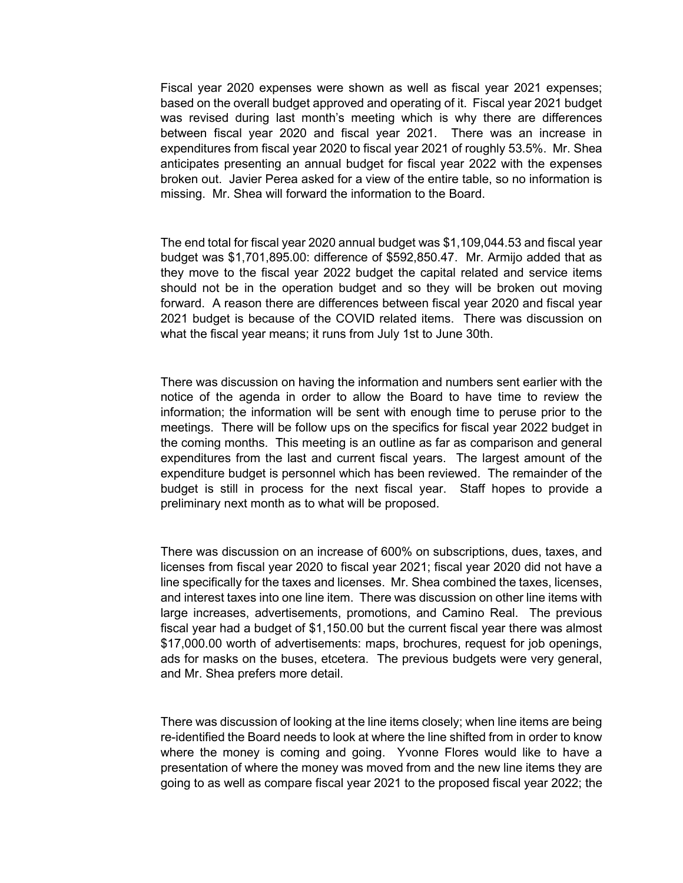Fiscal year 2020 expenses were shown as well as fiscal year 2021 expenses; based on the overall budget approved and operating of it. Fiscal year 2021 budget was revised during last month's meeting which is why there are differences between fiscal year 2020 and fiscal year 2021. There was an increase in expenditures from fiscal year 2020 to fiscal year 2021 of roughly 53.5%. Mr. Shea anticipates presenting an annual budget for fiscal year 2022 with the expenses broken out. Javier Perea asked for a view of the entire table, so no information is missing. Mr. Shea will forward the information to the Board.

The end total for fiscal year 2020 annual budget was \$1,109,044.53 and fiscal year budget was \$1,701,895.00: difference of \$592,850.47. Mr. Armijo added that as they move to the fiscal year 2022 budget the capital related and service items should not be in the operation budget and so they will be broken out moving forward. A reason there are differences between fiscal year 2020 and fiscal year 2021 budget is because of the COVID related items. There was discussion on what the fiscal year means; it runs from July 1st to June 30th.

There was discussion on having the information and numbers sent earlier with the notice of the agenda in order to allow the Board to have time to review the information; the information will be sent with enough time to peruse prior to the meetings. There will be follow ups on the specifics for fiscal year 2022 budget in the coming months. This meeting is an outline as far as comparison and general expenditures from the last and current fiscal years. The largest amount of the expenditure budget is personnel which has been reviewed. The remainder of the budget is still in process for the next fiscal year. Staff hopes to provide a preliminary next month as to what will be proposed.

There was discussion on an increase of 600% on subscriptions, dues, taxes, and licenses from fiscal year 2020 to fiscal year 2021; fiscal year 2020 did not have a line specifically for the taxes and licenses. Mr. Shea combined the taxes, licenses, and interest taxes into one line item. There was discussion on other line items with large increases, advertisements, promotions, and Camino Real. The previous fiscal year had a budget of \$1,150.00 but the current fiscal year there was almost \$17,000.00 worth of advertisements: maps, brochures, request for job openings, ads for masks on the buses, etcetera. The previous budgets were very general, and Mr. Shea prefers more detail.

There was discussion of looking at the line items closely; when line items are being re-identified the Board needs to look at where the line shifted from in order to know where the money is coming and going. Yvonne Flores would like to have a presentation of where the money was moved from and the new line items they are going to as well as compare fiscal year 2021 to the proposed fiscal year 2022; the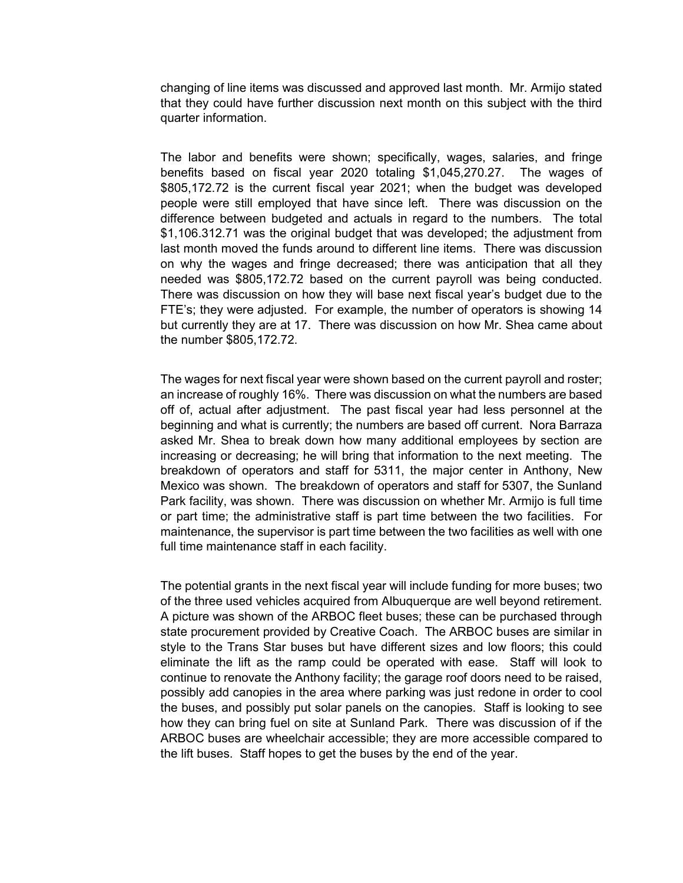changing of line items was discussed and approved last month. Mr. Armijo stated that they could have further discussion next month on this subject with the third quarter information.

The labor and benefits were shown; specifically, wages, salaries, and fringe benefits based on fiscal year 2020 totaling \$1,045,270.27. The wages of \$805,172.72 is the current fiscal year 2021; when the budget was developed people were still employed that have since left. There was discussion on the difference between budgeted and actuals in regard to the numbers. The total \$1,106.312.71 was the original budget that was developed; the adjustment from last month moved the funds around to different line items. There was discussion on why the wages and fringe decreased; there was anticipation that all they needed was \$805,172.72 based on the current payroll was being conducted. There was discussion on how they will base next fiscal year's budget due to the FTE's; they were adjusted. For example, the number of operators is showing 14 but currently they are at 17. There was discussion on how Mr. Shea came about the number \$805,172.72.

The wages for next fiscal year were shown based on the current payroll and roster; an increase of roughly 16%. There was discussion on what the numbers are based off of, actual after adjustment. The past fiscal year had less personnel at the beginning and what is currently; the numbers are based off current. Nora Barraza asked Mr. Shea to break down how many additional employees by section are increasing or decreasing; he will bring that information to the next meeting. The breakdown of operators and staff for 5311, the major center in Anthony, New Mexico was shown. The breakdown of operators and staff for 5307, the Sunland Park facility, was shown. There was discussion on whether Mr. Armijo is full time or part time; the administrative staff is part time between the two facilities. For maintenance, the supervisor is part time between the two facilities as well with one full time maintenance staff in each facility.

The potential grants in the next fiscal year will include funding for more buses; two of the three used vehicles acquired from Albuquerque are well beyond retirement. A picture was shown of the ARBOC fleet buses; these can be purchased through state procurement provided by Creative Coach. The ARBOC buses are similar in style to the Trans Star buses but have different sizes and low floors; this could eliminate the lift as the ramp could be operated with ease. Staff will look to continue to renovate the Anthony facility; the garage roof doors need to be raised, possibly add canopies in the area where parking was just redone in order to cool the buses, and possibly put solar panels on the canopies. Staff is looking to see how they can bring fuel on site at Sunland Park. There was discussion of if the ARBOC buses are wheelchair accessible; they are more accessible compared to the lift buses. Staff hopes to get the buses by the end of the year.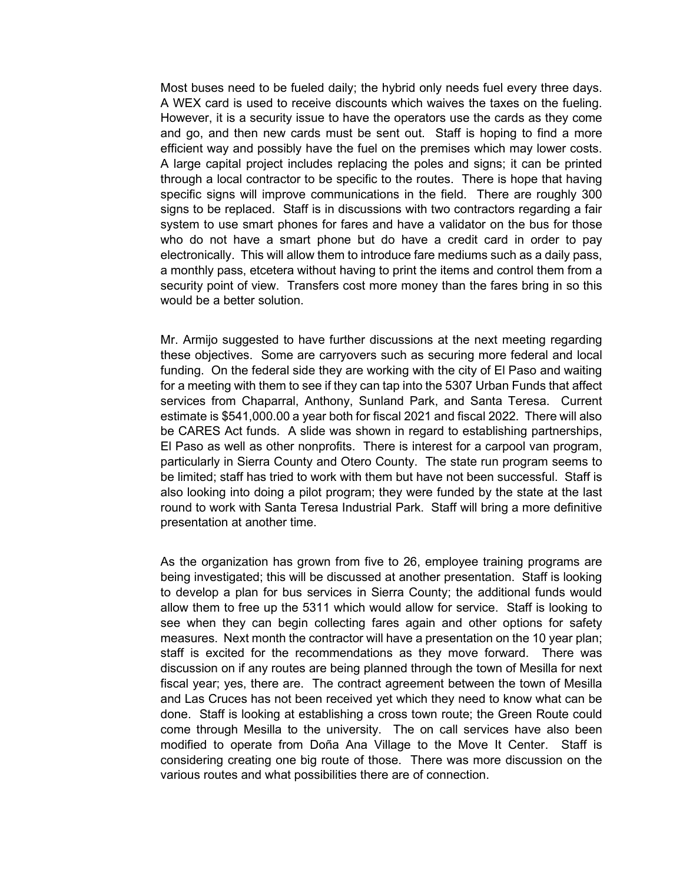Most buses need to be fueled daily; the hybrid only needs fuel every three days. A WEX card is used to receive discounts which waives the taxes on the fueling. However, it is a security issue to have the operators use the cards as they come and go, and then new cards must be sent out. Staff is hoping to find a more efficient way and possibly have the fuel on the premises which may lower costs. A large capital project includes replacing the poles and signs; it can be printed through a local contractor to be specific to the routes. There is hope that having specific signs will improve communications in the field. There are roughly 300 signs to be replaced. Staff is in discussions with two contractors regarding a fair system to use smart phones for fares and have a validator on the bus for those who do not have a smart phone but do have a credit card in order to pay electronically. This will allow them to introduce fare mediums such as a daily pass, a monthly pass, etcetera without having to print the items and control them from a security point of view. Transfers cost more money than the fares bring in so this would be a better solution.

Mr. Armijo suggested to have further discussions at the next meeting regarding these objectives. Some are carryovers such as securing more federal and local funding. On the federal side they are working with the city of El Paso and waiting for a meeting with them to see if they can tap into the 5307 Urban Funds that affect services from Chaparral, Anthony, Sunland Park, and Santa Teresa. Current estimate is \$541,000.00 a year both for fiscal 2021 and fiscal 2022. There will also be CARES Act funds. A slide was shown in regard to establishing partnerships, El Paso as well as other nonprofits. There is interest for a carpool van program, particularly in Sierra County and Otero County. The state run program seems to be limited; staff has tried to work with them but have not been successful. Staff is also looking into doing a pilot program; they were funded by the state at the last round to work with Santa Teresa Industrial Park. Staff will bring a more definitive presentation at another time.

As the organization has grown from five to 26, employee training programs are being investigated; this will be discussed at another presentation. Staff is looking to develop a plan for bus services in Sierra County; the additional funds would allow them to free up the 5311 which would allow for service. Staff is looking to see when they can begin collecting fares again and other options for safety measures. Next month the contractor will have a presentation on the 10 year plan; staff is excited for the recommendations as they move forward. There was discussion on if any routes are being planned through the town of Mesilla for next fiscal year; yes, there are. The contract agreement between the town of Mesilla and Las Cruces has not been received yet which they need to know what can be done. Staff is looking at establishing a cross town route; the Green Route could come through Mesilla to the university. The on call services have also been modified to operate from Doña Ana Village to the Move It Center. Staff is considering creating one big route of those. There was more discussion on the various routes and what possibilities there are of connection.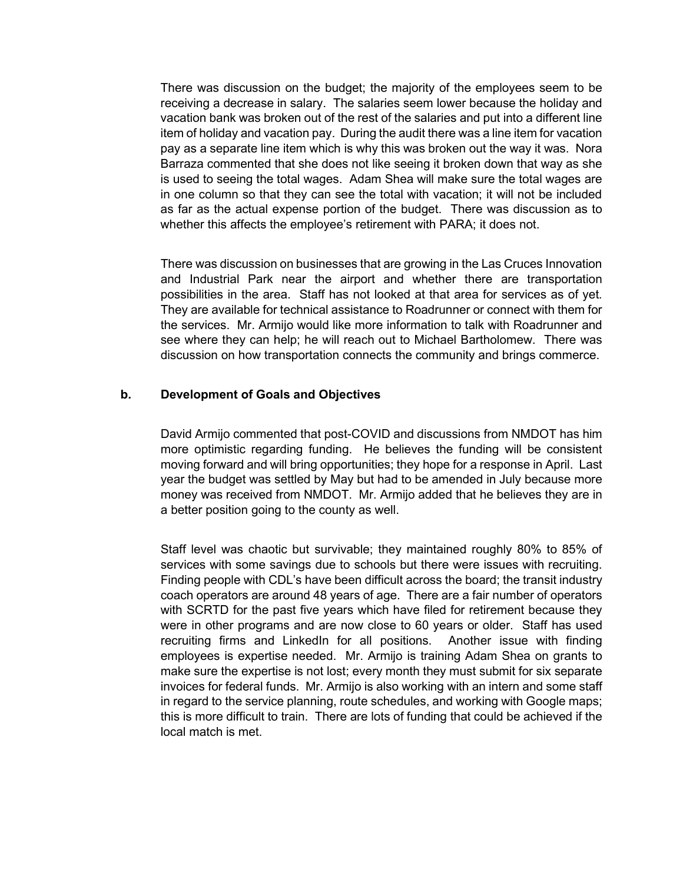There was discussion on the budget; the majority of the employees seem to be receiving a decrease in salary. The salaries seem lower because the holiday and vacation bank was broken out of the rest of the salaries and put into a different line item of holiday and vacation pay. During the audit there was a line item for vacation pay as a separate line item which is why this was broken out the way it was. Nora Barraza commented that she does not like seeing it broken down that way as she is used to seeing the total wages. Adam Shea will make sure the total wages are in one column so that they can see the total with vacation; it will not be included as far as the actual expense portion of the budget. There was discussion as to whether this affects the employee's retirement with PARA; it does not.

There was discussion on businesses that are growing in the Las Cruces Innovation and Industrial Park near the airport and whether there are transportation possibilities in the area. Staff has not looked at that area for services as of yet. They are available for technical assistance to Roadrunner or connect with them for the services. Mr. Armijo would like more information to talk with Roadrunner and see where they can help; he will reach out to Michael Bartholomew. There was discussion on how transportation connects the community and brings commerce.

#### **b. Development of Goals and Objectives**

David Armijo commented that post-COVID and discussions from NMDOT has him more optimistic regarding funding. He believes the funding will be consistent moving forward and will bring opportunities; they hope for a response in April. Last year the budget was settled by May but had to be amended in July because more money was received from NMDOT. Mr. Armijo added that he believes they are in a better position going to the county as well.

Staff level was chaotic but survivable; they maintained roughly 80% to 85% of services with some savings due to schools but there were issues with recruiting. Finding people with CDL's have been difficult across the board; the transit industry coach operators are around 48 years of age. There are a fair number of operators with SCRTD for the past five years which have filed for retirement because they were in other programs and are now close to 60 years or older. Staff has used recruiting firms and LinkedIn for all positions. Another issue with finding employees is expertise needed. Mr. Armijo is training Adam Shea on grants to make sure the expertise is not lost; every month they must submit for six separate invoices for federal funds. Mr. Armijo is also working with an intern and some staff in regard to the service planning, route schedules, and working with Google maps; this is more difficult to train. There are lots of funding that could be achieved if the local match is met.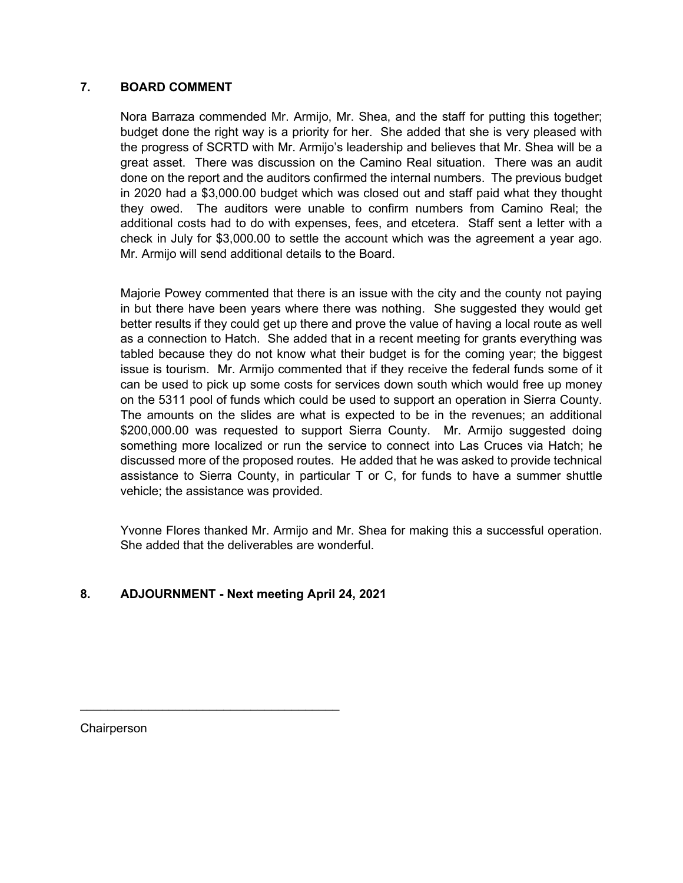## **7. BOARD COMMENT**

Nora Barraza commended Mr. Armijo, Mr. Shea, and the staff for putting this together; budget done the right way is a priority for her. She added that she is very pleased with the progress of SCRTD with Mr. Armijo's leadership and believes that Mr. Shea will be a great asset. There was discussion on the Camino Real situation. There was an audit done on the report and the auditors confirmed the internal numbers. The previous budget in 2020 had a \$3,000.00 budget which was closed out and staff paid what they thought they owed. The auditors were unable to confirm numbers from Camino Real; the additional costs had to do with expenses, fees, and etcetera. Staff sent a letter with a check in July for \$3,000.00 to settle the account which was the agreement a year ago. Mr. Armijo will send additional details to the Board.

Majorie Powey commented that there is an issue with the city and the county not paying in but there have been years where there was nothing. She suggested they would get better results if they could get up there and prove the value of having a local route as well as a connection to Hatch. She added that in a recent meeting for grants everything was tabled because they do not know what their budget is for the coming year; the biggest issue is tourism. Mr. Armijo commented that if they receive the federal funds some of it can be used to pick up some costs for services down south which would free up money on the 5311 pool of funds which could be used to support an operation in Sierra County. The amounts on the slides are what is expected to be in the revenues; an additional \$200,000.00 was requested to support Sierra County. Mr. Armijo suggested doing something more localized or run the service to connect into Las Cruces via Hatch; he discussed more of the proposed routes. He added that he was asked to provide technical assistance to Sierra County, in particular T or C, for funds to have a summer shuttle vehicle; the assistance was provided.

Yvonne Flores thanked Mr. Armijo and Mr. Shea for making this a successful operation. She added that the deliverables are wonderful.

# **8. ADJOURNMENT - Next meeting April 24, 2021**

 $\overline{\phantom{a}}$  , where  $\overline{\phantom{a}}$  , where  $\overline{\phantom{a}}$  ,  $\overline{\phantom{a}}$  ,  $\overline{\phantom{a}}$  ,  $\overline{\phantom{a}}$  ,  $\overline{\phantom{a}}$  ,  $\overline{\phantom{a}}$  ,  $\overline{\phantom{a}}$  ,  $\overline{\phantom{a}}$  ,  $\overline{\phantom{a}}$  ,  $\overline{\phantom{a}}$  ,  $\overline{\phantom{a}}$  ,  $\overline{\phantom{a}}$  ,  $\overline{\phantom{a}}$  ,

**Chairperson**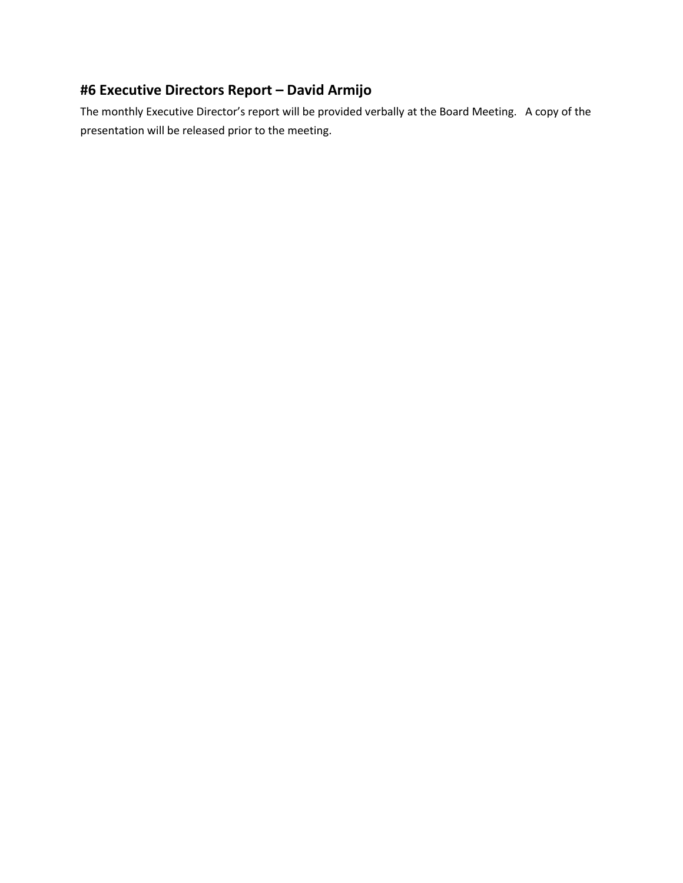# **#6 Executive Directors Report – David Armijo**

The monthly Executive Director's report will be provided verbally at the Board Meeting. A copy of the presentation will be released prior to the meeting.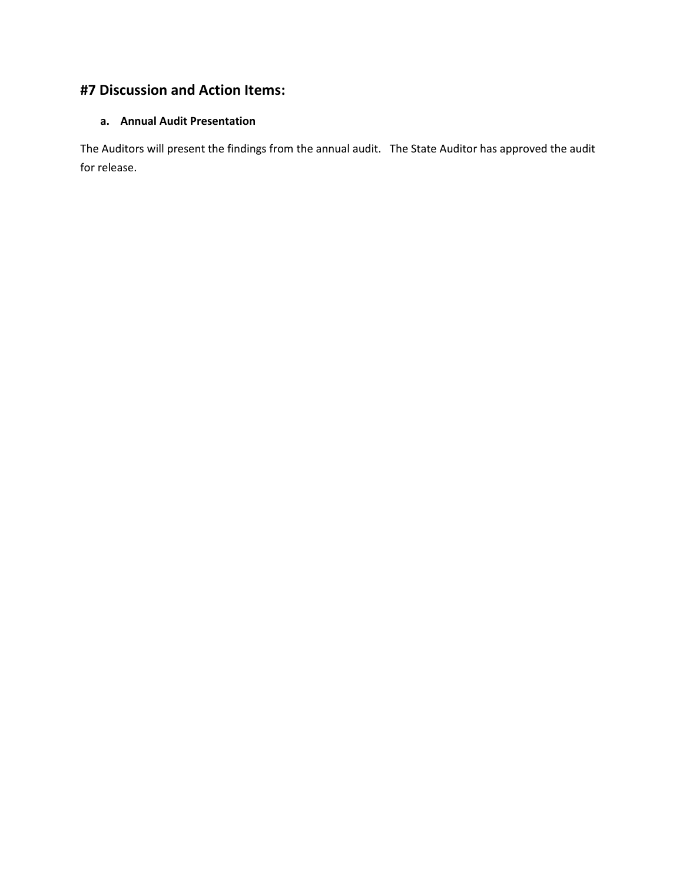# **#7 Discussion and Action Items:**

### **a. Annual Audit Presentation**

The Auditors will present the findings from the annual audit. The State Auditor has approved the audit for release.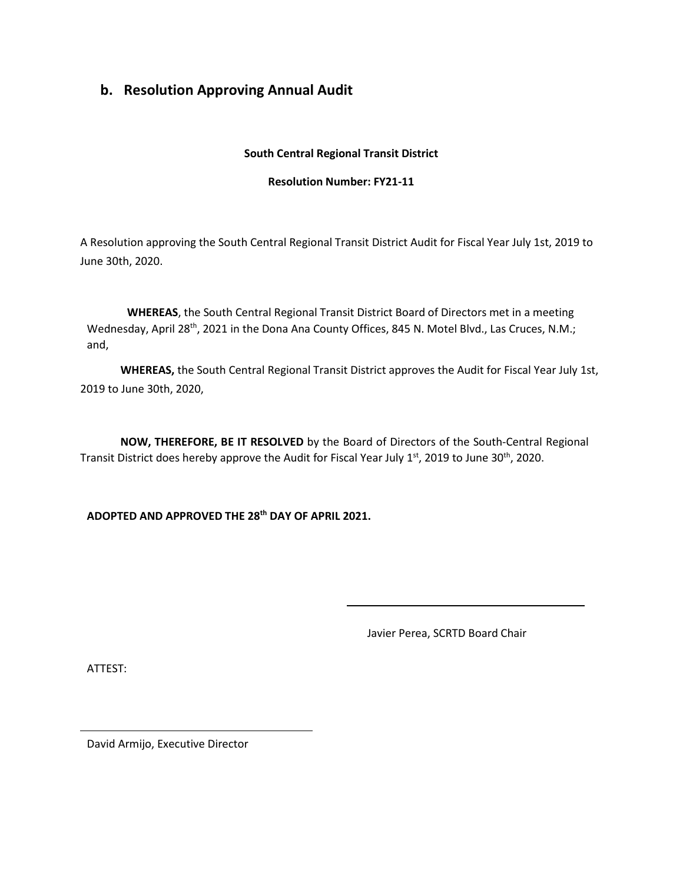# **b. Resolution Approving Annual Audit**

#### **South Central Regional Transit District**

#### **Resolution Number: FY21-11**

A Resolution approving the South Central Regional Transit District Audit for Fiscal Year July 1st, 2019 to June 30th, 2020.

**WHEREAS**, the South Central Regional Transit District Board of Directors met in a meeting Wednesday, April 28<sup>th</sup>, 2021 in the Dona Ana County Offices, 845 N. Motel Blvd., Las Cruces, N.M.; and,

**WHEREAS,** the South Central Regional Transit District approves the Audit for Fiscal Year July 1st, 2019 to June 30th, 2020,

**NOW, THEREFORE, BE IT RESOLVED** by the Board of Directors of the South-Central Regional Transit District does hereby approve the Audit for Fiscal Year July 1<sup>st</sup>, 2019 to June 30<sup>th</sup>, 2020.

**ADOPTED AND APPROVED THE 28th DAY OF APRIL 2021.**

Javier Perea, SCRTD Board Chair

ATTEST:

David Armijo, Executive Director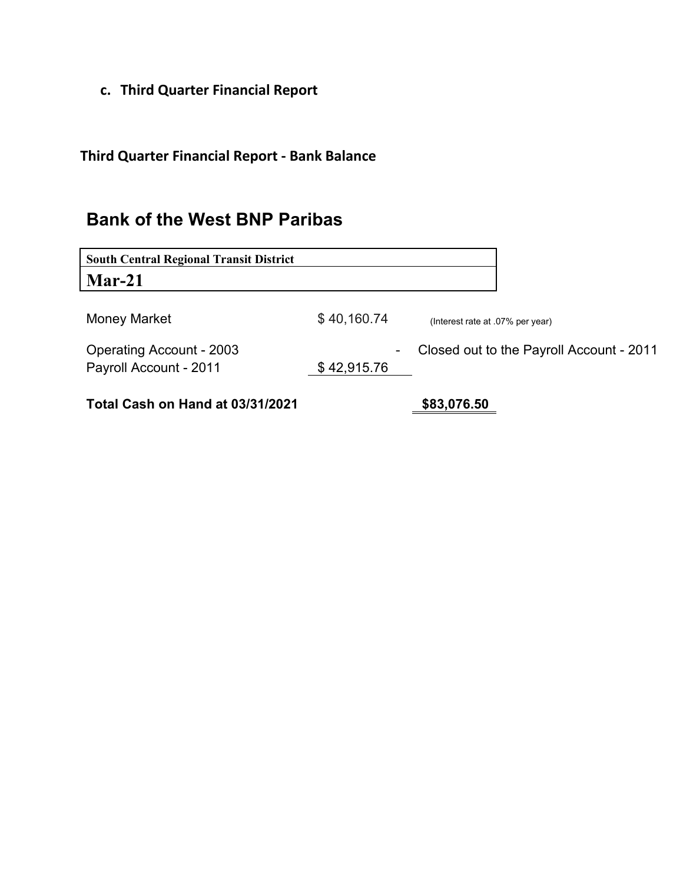**c. Third Quarter Financial Report**

**Third Quarter Financial Report - Bank Balance**

# **Bank of the West BNP Paribas**

| <b>South Central Regional Transit District</b> |             |                                          |
|------------------------------------------------|-------------|------------------------------------------|
| $Mar-21$                                       |             |                                          |
|                                                |             |                                          |
| Money Market                                   | \$40,160.74 | (Interest rate at .07% per year)         |
| <b>Operating Account - 2003</b>                | ٠           | Closed out to the Payroll Account - 2011 |
| Payroll Account - 2011                         | \$42,915.76 |                                          |
|                                                |             |                                          |
| Total Cash on Hand at 03/31/2021               |             | \$83,076.50                              |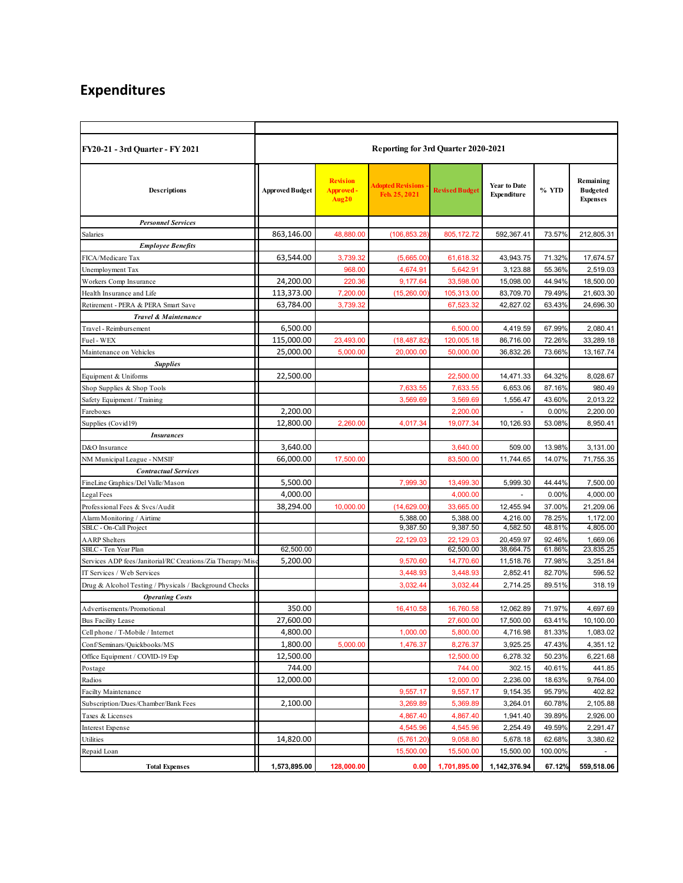# **Expenditures**

| <b>FY20-21 - 3rd Quarter - FY 2021</b>                    | <b>Reporting for 3rd Quarter 2020-2021</b> |                                        |                                           |                       |                                    |         |                                                 |  |
|-----------------------------------------------------------|--------------------------------------------|----------------------------------------|-------------------------------------------|-----------------------|------------------------------------|---------|-------------------------------------------------|--|
| <b>Descriptions</b>                                       | <b>Approved Budget</b>                     | <b>Revision</b><br>Approved -<br>Aug20 | <b>Adopted Revisions</b><br>Feb. 25, 2021 | <b>Revised Budget</b> | <b>Year to Date</b><br>Expenditure | % YTD   | Remaining<br><b>Budgeted</b><br><b>Expenses</b> |  |
| <b>Personnel Services</b>                                 |                                            |                                        |                                           |                       |                                    |         |                                                 |  |
| <b>Salaries</b>                                           | 863,146.00                                 | 48,880.00                              | (106, 853.28)                             | 805, 172.72           | 592,367.41                         | 73.57%  | 212,805.31                                      |  |
| <b>Employee Benefits</b>                                  |                                            |                                        |                                           |                       |                                    |         |                                                 |  |
| FICA/Medicare Tax                                         | 63,544.00                                  | 3,739.32                               | (5,665.00)                                | 61,618.32             | 43,943.75                          | 71.32%  | 17,674.57                                       |  |
| Unemployment Tax                                          |                                            | 968.00                                 | 4,674.91                                  | 5,642.91              | 3,123.88                           | 55.36%  | 2,519.03                                        |  |
| Workers Comp Insurance                                    | 24,200.00                                  | 220.36                                 | 9,177.64                                  | 33,598.00             | 15,098.00                          | 44.94%  | 18,500.00                                       |  |
| Health Insurance and Life                                 | 113,373.00                                 | 7,200.00                               | (15, 260.00)                              | 105,313.00            | 83,709.70                          | 79.49%  | 21,603.30                                       |  |
| Retirement - PERA & PERA Smart Save                       | 63,784.00                                  | 3,739.32                               |                                           | 67,523.32             | 42,827.02                          | 63.43%  | 24,696.30                                       |  |
| <b>Travel &amp; Maintenance</b>                           |                                            |                                        |                                           |                       |                                    |         |                                                 |  |
| Travel - Reimbursement                                    | 6,500.00                                   |                                        |                                           | 6,500.00              | 4,419.59                           | 67.99%  | 2,080.41                                        |  |
| Fuel - WEX                                                | 115,000.00                                 | 23,493.00                              | (18, 487.82)                              | 120,005.18            | 86,716.00                          | 72.26%  | 33,289.18                                       |  |
| Maintenance on Vehicles                                   | 25,000.00                                  | 5,000.00                               | 20,000.00                                 | 50,000.00             | 36,832.26                          | 73.66%  | 13, 167. 74                                     |  |
| <b>Supplies</b>                                           |                                            |                                        |                                           |                       |                                    |         |                                                 |  |
| Equipment & Uniforms                                      | 22,500.00                                  |                                        |                                           | 22,500.00             | 14,471.33                          | 64.32%  | 8,028.67                                        |  |
| Shop Supplies & Shop Tools                                |                                            |                                        | 7,633.55                                  | 7,633.55              | 6,653.06                           | 87.16%  | 980.49                                          |  |
| Safety Equipment / Training                               |                                            |                                        | 3,569.69                                  | 3,569.69              | 1,556.47                           | 43.60%  | 2,013.22                                        |  |
| Fareboxes                                                 | 2,200.00                                   |                                        |                                           | 2,200.00              |                                    | 0.00%   | 2,200.00                                        |  |
| Supplies (Covid19)                                        | 12,800.00                                  | 2,260.00                               | 4,017.34                                  | 19,077.34             | 10,126.93                          | 53.08%  | 8,950.41                                        |  |
| <b>Insurances</b>                                         |                                            |                                        |                                           |                       |                                    |         |                                                 |  |
| D&O Insurance                                             | 3,640.00                                   |                                        |                                           | 3,640.00              | 509.00                             | 13.98%  | 3,131.00                                        |  |
| NM Municipal League - NMSIF                               | 66,000.00                                  | 17,500.00                              |                                           | 83,500.00             | 11,744.65                          | 14.07%  | 71,755.35                                       |  |
| <b>Contractual Services</b>                               |                                            |                                        |                                           |                       |                                    |         |                                                 |  |
| FineLine Graphics/Del Valle/Mason                         | 5,500.00                                   |                                        | 7,999.30                                  | 13,499.30             | 5,999.30                           | 44.44%  | 7,500.00                                        |  |
| Legal Fees                                                | 4,000.00                                   |                                        |                                           | 4,000.00              |                                    | 0.00%   | 4,000.00                                        |  |
| Professional Fees & Svcs/Audit                            | 38,294.00                                  | 10,000.00                              | (14, 629.00)                              | 33,665.00             | 12,455.94                          | 37.00%  | 21,209.06                                       |  |
| Alarm Monitoring / Airtime                                |                                            |                                        | 5,388.00                                  | 5,388.00              | 4,216.00                           | 78.25%  | 1,172.00                                        |  |
| SBLC - On-Call Project                                    |                                            |                                        | 9,387.50                                  | 9,387.50              | 4,582.50                           | 48.81%  | 4,805.00                                        |  |
| <b>AARP</b> Shelters                                      |                                            |                                        | 22,129.03                                 | 22.129.03             | 20,459.97                          | 92.46%  | 1,669.06                                        |  |
| SBLC - Ten Year Plan                                      | 62,500.00                                  |                                        |                                           | 62,500.00             | 38,664.75                          | 61.86%  | 23,835.25                                       |  |
| Services ADP fees/Janitorial/RC Creations/Zia Therapy/Mis | 5,200.00                                   |                                        | 9,570.60                                  | 14,770.60             | 11,518.76                          | 77.98%  | 3,251.84                                        |  |
| IT Services / Web Services                                |                                            |                                        | 3,448.93                                  | 3,448.93              | 2.852.41                           | 82.70%  | 596.52                                          |  |
| Drug & Alcohol Testing / Physicals / Background Checks    |                                            |                                        | 3,032.44                                  | 3,032.44              | 2,714.25                           | 89.51%  | 318.19                                          |  |
| <b>Operating Costs</b>                                    |                                            |                                        |                                           |                       |                                    |         |                                                 |  |
| Advertisements/Promotional                                | 350.00                                     |                                        | 16,410.58                                 | 16,760.58             | 12,062.89                          | 71.97%  | 4,697.69                                        |  |
| <b>Bus Facility Lease</b>                                 | 27,600.00                                  |                                        |                                           | 27,600.00             | 17,500.00                          | 63.41%  | 10,100.00                                       |  |
| Cell phone / T-Mobile / Internet                          | 4,800.00                                   |                                        | 1,000.00                                  | 5,800.00              | 4,716.98                           | 81.33%  | 1,083.02                                        |  |
| Conf/Seminars/Quickbooks/MS                               | 1,800.00                                   | 5,000.00                               | 1,476.37                                  | 8,276.37              | 3,925.25                           | 47.43%  | 4,351.12                                        |  |
| Office Equipment / COVID-19 Exp                           | 12,500.00                                  |                                        |                                           | 12,500.00             | 6,278.32                           | 50.23%  | 6,221.68                                        |  |
| Postage                                                   | 744.00                                     |                                        |                                           | 744.00                | 302.15                             | 40.61%  | 441.85                                          |  |
| Radios                                                    | 12,000.00                                  |                                        |                                           | 12,000.00             | 2,236.00                           | 18.63%  | 9,764.00                                        |  |
| Facilty Maintenance                                       |                                            |                                        | 9,557.17                                  | 9,557.17              | 9,154.35                           | 95.79%  | 402.82                                          |  |
| Subscription/Dues/Chamber/Bank Fees                       | 2,100.00                                   |                                        | 3,269.89                                  | 5,369.89              | 3,264.01                           | 60.78%  | 2,105.88                                        |  |
| Taxes & Licenses                                          |                                            |                                        | 4,867.40                                  | 4,867.40              | 1,941.40                           | 39.89%  | 2,926.00                                        |  |
| <b>Interest Expense</b>                                   |                                            |                                        | 4,545.96                                  | 4,545.96              | 2,254.49                           | 49.59%  | 2,291.47                                        |  |
| Utilities                                                 | 14,820.00                                  |                                        | (5,761.20)                                | 9,058.80              | 5,678.18                           | 62.68%  | 3,380.62                                        |  |
| Repaid Loan                                               |                                            |                                        | 15,500.00                                 | 15,500.00             | 15,500.00                          | 100.00% |                                                 |  |
| <b>Total Expenses</b>                                     | 1,573,895.00                               | 128,000.00                             | 0.00                                      | 1,701,895.00          | 1,142,376.94                       | 67.12%  | 559,518.06                                      |  |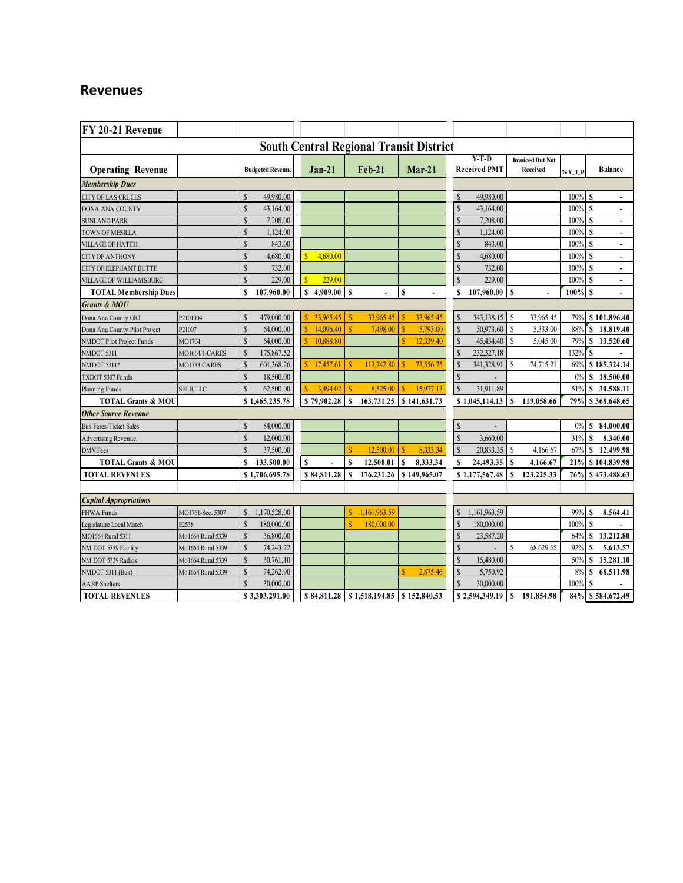# **Revenues**

| FY 20-21 Revenue                               |                    |                               |                                   |                                         |                                      |                    |                                |                                     |            |                                |
|------------------------------------------------|--------------------|-------------------------------|-----------------------------------|-----------------------------------------|--------------------------------------|--------------------|--------------------------------|-------------------------------------|------------|--------------------------------|
| <b>South Central Regional Transit District</b> |                    |                               |                                   |                                         |                                      |                    |                                |                                     |            |                                |
| <b>Operating Revenue</b>                       |                    | <b>Budgeted Revenue</b>       | $Jan-21$                          | <b>Feb-21</b>                           | $Mar-21$                             |                    | $Y-T-D$<br><b>Received PMT</b> | <b>Invoiced But Not</b><br>Received | $\%$ Y T D | <b>Balance</b>                 |
| <b>Membership Dues</b>                         |                    |                               |                                   |                                         |                                      |                    |                                |                                     |            |                                |
| CITY OF LAS CRUCES                             |                    | 49,980.00<br>$\mathcal{S}$    |                                   |                                         |                                      | \$                 | 49,980.00                      |                                     | 100%       | S                              |
| DONA ANA COUNTY                                |                    | S<br>43,164.00                |                                   |                                         |                                      | $\hat{\mathbf{s}}$ | 43,164.00                      |                                     | 100%       | $\mathbf S$                    |
| <b>SUNLAND PARK</b>                            |                    | S<br>7,208.00                 |                                   |                                         |                                      | \$                 | 7,208.00                       |                                     | 100%       | S<br>$\blacksquare$            |
| TOWN OF MESILLA                                |                    | S<br>1,124.00                 |                                   |                                         |                                      | $\hat{S}$          | 1,124.00                       |                                     | 100%       | S<br>$\overline{\phantom{a}}$  |
| <b>VILLAGE OF HATCH</b>                        |                    | $\mathcal{S}$<br>843.00       |                                   |                                         |                                      | $\mathbf S$        | 843.00                         |                                     | 100%       | S<br>$\overline{\phantom{a}}$  |
| <b>CITY OF ANTHONY</b>                         |                    | $\mathcal{S}$<br>4,680.00     | ¢<br>4,680.00                     |                                         |                                      | \$                 | 4,680.00                       |                                     | 100%       | S<br>$\blacksquare$            |
| <b>CITY OF ELEPHANT BUTTE</b>                  |                    | S<br>732.00                   |                                   |                                         |                                      | \$                 | 732.00                         |                                     | 100%       | $\mathbf{s}$<br>$\blacksquare$ |
| VILLAGE OF WILLIAMSBURG                        |                    | S<br>229.00                   | $\overline{\mathbf{s}}$<br>229.00 |                                         |                                      | \$                 | 229.00                         |                                     | 100%       | S<br>$\blacksquare$            |
| <b>TOTAL Membership Dues</b>                   |                    | S<br>107,960.00               | 4,909.00<br>$\mathbf S$           | <sup>S</sup><br>$\overline{a}$          | \$                                   | S                  | 107,960.00                     | <sup>S</sup><br>$\overline{a}$      | $100%$ \$  | $\overline{a}$                 |
| <b>Grants &amp; MOU</b>                        |                    |                               |                                   |                                         |                                      |                    |                                |                                     |            |                                |
| Dona Ana County GRT                            | P2101004           | 479,000.00<br>S               | 33,965.45<br>$\hat{\mathbf{S}}$   | 33.965.45<br>$\mathbf{s}$               | 33.965.45<br>S                       | $\mathbf S$        | 343,138.15                     | <sup>\$</sup><br>33,965.45          | 79%        | \$101,896.40                   |
| Dona Ana County Pilot Project                  | P21007             | <sup>S</sup><br>64,000.00     | $\hat{\mathbf{S}}$<br>14,096.40   | S<br>7,498.00                           | S<br>5,793.00                        | \$                 | 50,973.60                      | <sup>S</sup><br>5,333.00            | 88%        | \$<br>18,819.40                |
| NMDOT Pilot Project Funds                      | MO1704             | S<br>64,000.00                | $\mathbf{S}$<br>10,888.80         |                                         | $\overline{\mathbf{S}}$<br>12,339.40 | $\mathbf S$        | 45,434.40                      | <sup>S</sup><br>5,045.00            | 79%        | \$13,520.60                    |
| NMDOT 5311                                     | MO1664/1-CARES     | $\mathcal{S}$<br>175,867.52   |                                   |                                         |                                      | \$                 | 232,327.18                     |                                     | 132%       | S                              |
| NMDOT 5311*                                    | MO1733-CARES       | $\mathcal{S}$<br>601,368.26   | 17,457.61                         | 113,742.80                              | 73,556.75<br>S                       | \$                 | 341,328.91                     | S<br>74,715.21                      | 69%        | \$185,324.14                   |
| TXDOT 5307 Funds                               |                    | S<br>18,500.00                |                                   |                                         |                                      | $\mathbf S$        |                                |                                     | 0%         | 18,500.00<br>s                 |
| Planning Funds                                 | <b>SBLB, LLC</b>   | S<br>62,500.00                | 3,494.02<br>$\mathbf S$           | $\mathbf S$<br>8.525.00                 | S<br>15.977.13                       | $\mathbf S$        | 31,911.89                      |                                     | 51%        | 30,588.11<br>S                 |
| <b>TOTAL Grants &amp; MOU</b>                  |                    | \$1,465,235.78                | \$79,902.28                       | S<br>163,731.25                         | \$141,631.73                         |                    | \$1,045,114.13                 | 119,058.66<br>S                     | 79%        | \$368,648.65                   |
| <b>Other Source Revenue</b>                    |                    |                               |                                   |                                         |                                      |                    |                                |                                     |            |                                |
| <b>Bus Fares/Ticket Sales</b>                  |                    | 84,000.00<br>$\mathcal{S}$    |                                   |                                         |                                      | \$                 |                                |                                     | 0%         | 84,000.00<br>s                 |
| <b>Advertising Revenue</b>                     |                    | $\mathcal{S}$<br>12,000.00    |                                   |                                         |                                      | $\mathbf S$        | 3,660.00                       |                                     | 31%        | 8,340.00<br>S                  |
| <b>DMV</b> Fees                                |                    | S<br>37,500.00                |                                   | $\mathbf{\hat{S}}$<br>12.500.01         | <b>S</b><br>8,333.34                 | \$                 | 20,833.35                      | <sup>\$</sup><br>4,166.67           | 67%        | 12,499.98<br>S                 |
| <b>TOTAL Grants &amp; MOU</b>                  |                    | S<br>133,500.00               | $\mathbf S$                       | $\mathbf S$<br>12,500.01                | \$<br>8,333.34                       | S                  | 24,493.35                      | S<br>4,166.67                       | 21%        | \$104,839.98                   |
| <b>TOTAL REVENUES</b>                          |                    | \$1,706,695.78                | \$84,811.28                       | $\mathbf S$<br>176,231.26               | \$149,965.07                         |                    | \$1,177,567.48                 | S<br>123,225.33                     | 76%        | \$473,488.63                   |
|                                                |                    |                               |                                   |                                         |                                      |                    |                                |                                     |            |                                |
| <b>Capital Appropriations</b>                  |                    |                               |                                   |                                         |                                      |                    |                                |                                     |            |                                |
| FHWA Funds                                     | MO1761-Sec. 5307   | 1,170,528.00<br>$\mathcal{S}$ |                                   | 1,161,963.59<br>S                       |                                      | \$                 | 1,161,963.59                   |                                     | 99%        | 8,564.41<br>\$                 |
| Legislature Local Match                        | E2538              | S<br>180,000.00               |                                   | 180,000.00                              |                                      | \$                 | 180,000.00                     |                                     | 100%       | $\mathbf S$                    |
| MO1664 Rural 5311                              | Mo1664 Rural 5339  | $\mathcal{S}$<br>36,800.00    |                                   |                                         |                                      | \$                 | 23,587.20                      |                                     | 64%        | 13,212.80<br>S                 |
| NM DOT 5339 Facility                           | Mo1664 Rural 5339  | $\mathcal{S}$<br>74,243.22    |                                   |                                         |                                      | \$                 |                                | S<br>68,629.65                      | 92%        | 5,613.57<br>S                  |
| NM DOT 5339 Radios                             | Mo 1664 Rural 5339 | $\mathcal{S}$<br>30,761.10    |                                   |                                         |                                      | \$                 | 15,480.00                      |                                     | 50%        | 15,281.10<br>\$                |
| NMDOT 5311 (Bus)                               | Mo 1664 Rural 5339 | $\mathcal{S}$<br>74,262.90    |                                   |                                         | 2,875.46<br>S                        | \$                 | 5,750.92                       |                                     | 8%         | 68,511.98<br>S                 |
| <b>AARP</b> Shelters                           |                    | S<br>30,000.00                |                                   |                                         |                                      | $\mathbf S$        | 30,000.00                      |                                     | 100%       |                                |
| <b>TOTAL REVENUES</b>                          |                    | \$3,303,291.00                | \$84,811.28                       | $\vert$ \$ 1,518,194.85 \ \$ 152,840.53 |                                      |                    | \$2,594,349.19                 | S<br>191,854.98                     |            | 84% \$584,672.49               |